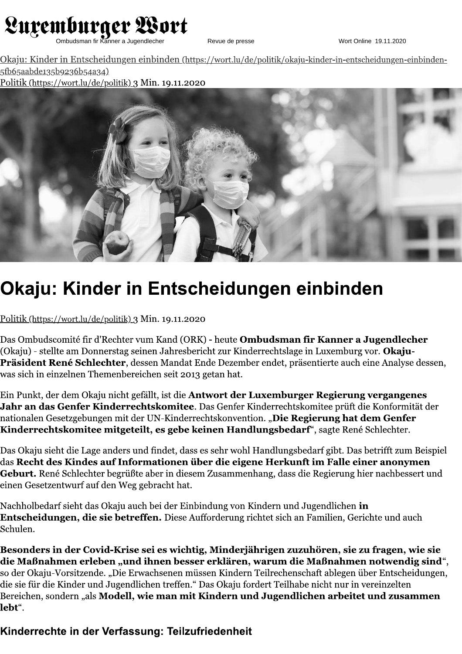

Revue de presse

Okaju: Kinder in Entscheidungen einbinden (https://wort.lu/de/politik/okaju-kinder-in-entscheidungen-einbinden-5fb65aabde135b9236b54a34) Politik (https://wort.lu/de/politik) 3 Min. 19.11.2020



## Okaju: Kinder in Entscheidungen einbinden

Politik (https://wort.lu/de/politik) 3 Min. 19.11.2020

Das Ombudscomité fir d'Rechter vum Kand (ORK) - heute **Ombudsman fir Kanner a Jugendlecher** (Okaju) - stellte am Donnerstag seinen Jahresbericht zur Kinderrechtslage in Luxemburg vor. **Okaju-**Präsident René Schlechter, dessen Mandat Ende Dezember endet, präsentierte auch eine Analyse dessen, was sich in einzelnen Themenbereichen seit 2013 getan hat.

Ein Punkt, der dem Okaju nicht gefällt, ist die **Antwort der Luxemburger Regierung vergangenes** Jahr an das Genfer Kinderrechtskomitee. Das Genfer Kinderrechtskomitee prüft die Konformität der nationalen Gesetzgebungen mit der UN-Kinderrechtskonvention. "**Die Regierung hat dem Genfer** Kinderrechtskomitee mitgeteilt, es gebe keinen Handlungsbedarf", sagte René Schlechter.

Das Okaju sieht die Lage anders und findet, dass es sehr wohl Handlungsbedarf gibt. Das betrifft zum Beispiel das Recht des Kindes auf Informationen über die eigene Herkunft im Falle einer anonymen Geburt. René Schlechter begrüßte aber in diesem Zusammenhang, dass die Regierung hier nachbessert und einen Gesetzentwurf auf den Weg gebracht hat.

Nachholbedarf sieht das Okaju auch bei der Einbindung von Kindern und Jugendlichen **in** Entscheidungen, die sie betreffen. Diese Aufforderung richtet sich an Familien, Gerichte und auch Schulen.

Besonders in der Covid-Krise sei es wichtig, Minderjährigen zuzuhören, sie zu fragen, wie sie die Maßnahmen erleben "und ihnen besser erklären, warum die Maßnahmen notwendig sind", so der Okaju-Vorsitzende. "Die Erwachsenen müssen Kindern Teilrechenschaft ablegen über Entscheidungen, die sie für die Kinder und Jugendlichen treffen." Das Okaju fordert Teilhabe nicht nur in vereinzelten Bereichen, sondern "als Modell, wie man mit Kindern und Jugendlichen arbeitet und zusammen lebt".

Kinderrechte in der Verfassung: Teilzufriedenheit